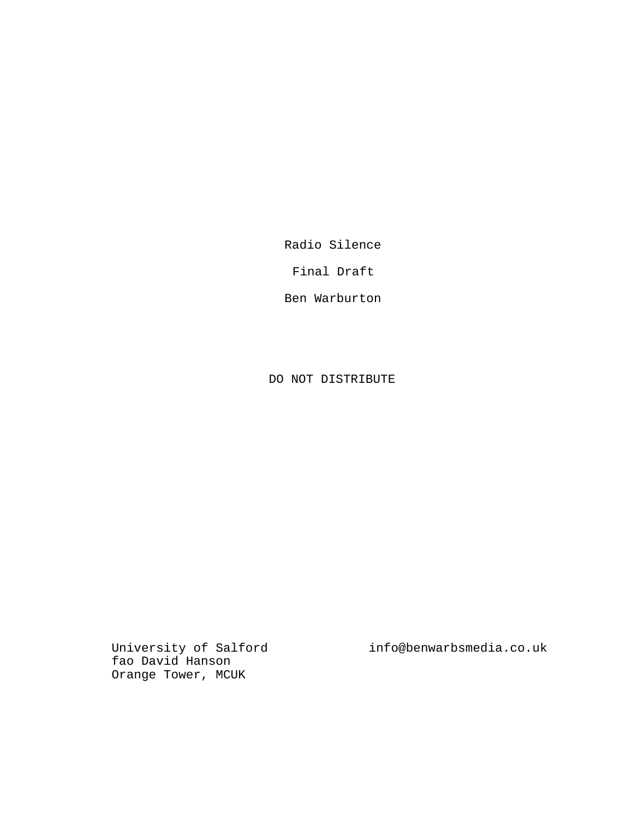Radio Silence

Final Draft

Ben Warburton

DO NOT DISTRIBUTE

fao David Hanson Orange Tower, MCUK

University of Salford info@benwarbsmedia.co.uk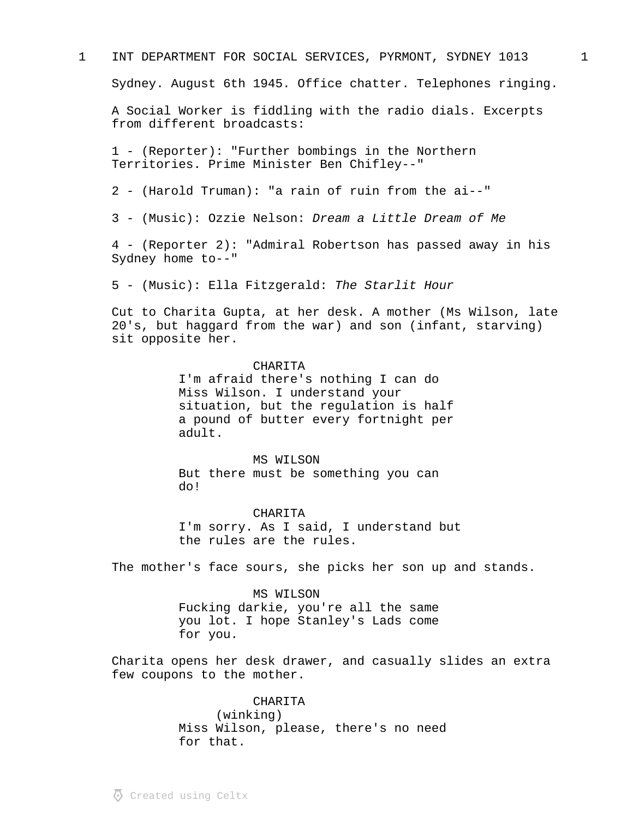## 1 INT DEPARTMENT FOR SOCIAL SERVICES, PYRMONT, SYDNEY 1013 1

Sydney. August 6th 1945. Office chatter. Telephones ringing.

A Social Worker is fiddling with the radio dials. Excerpts from different broadcasts:

1 - (Reporter): "Further bombings in the Northern Territories. Prime Minister Ben Chifley--"

2 - (Harold Truman): "a rain of ruin from the ai--"

3 - (Music): Ozzie Nelson: Dream a Little Dream of Me

4 - (Reporter 2): "Admiral Robertson has passed away in his Sydney home to--"

5 - (Music): Ella Fitzgerald: The Starlit Hour

Cut to Charita Gupta, at her desk. A mother (Ms Wilson, late 20's, but haggard from the war) and son (infant, starving) sit opposite her.

#### CHARITA

I'm afraid there's nothing I can do Miss Wilson. I understand your situation, but the regulation is half a pound of butter every fortnight per adult.

MS WILSON But there must be something you can do!

CHARITA I'm sorry. As I said, I understand but the rules are the rules.

The mother's face sours, she picks her son up and stands.

#### MS WILSON

Fucking darkie, you're all the same you lot. I hope Stanley's Lads come for you.

Charita opens her desk drawer, and casually slides an extra few coupons to the mother.

> CHARITA (winking) Miss Wilson, please, there's no need for that.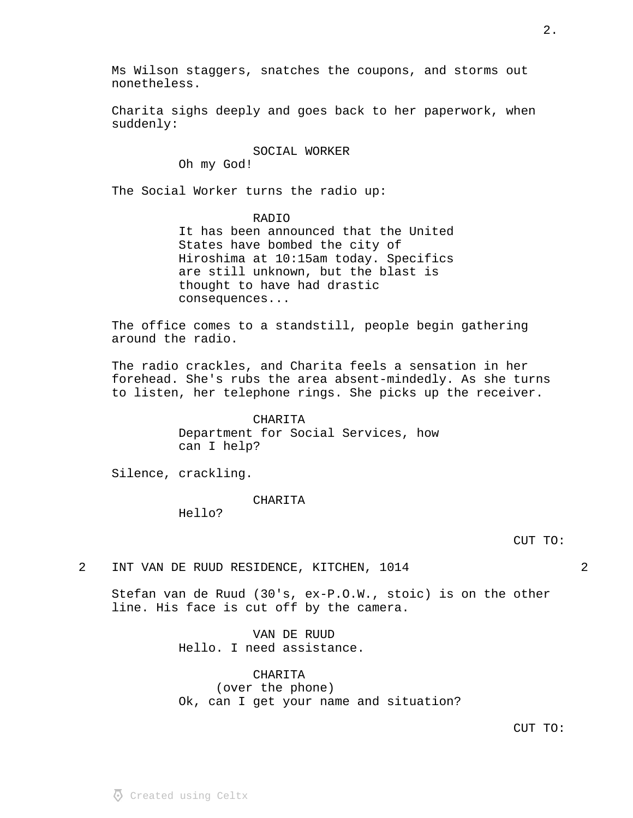Ms Wilson staggers, snatches the coupons, and storms out

## SOCIAL WORKER Oh my God!

The Social Worker turns the radio up:

## RADIO

It has been announced that the United States have bombed the city of Hiroshima at 10:15am today. Specifics are still unknown, but the blast is thought to have had drastic consequences...

The office comes to a standstill, people begin gathering around the radio.

The radio crackles, and Charita feels a sensation in her forehead. She's rubs the area absent-mindedly. As she turns to listen, her telephone rings. She picks up the receiver.

> CHARITA Department for Social Services, how can I help?

Silence, crackling.

nonetheless.

## CHARITA

Hello?

2 INT VAN DE RUUD RESIDENCE, KITCHEN, 1014 2

Stefan van de Ruud (30's, ex-P.O.W., stoic) is on the other line. His face is cut off by the camera.

> VAN DE RUUD Hello. I need assistance.

CHARITA (over the phone) Ok, can I get your name and situation?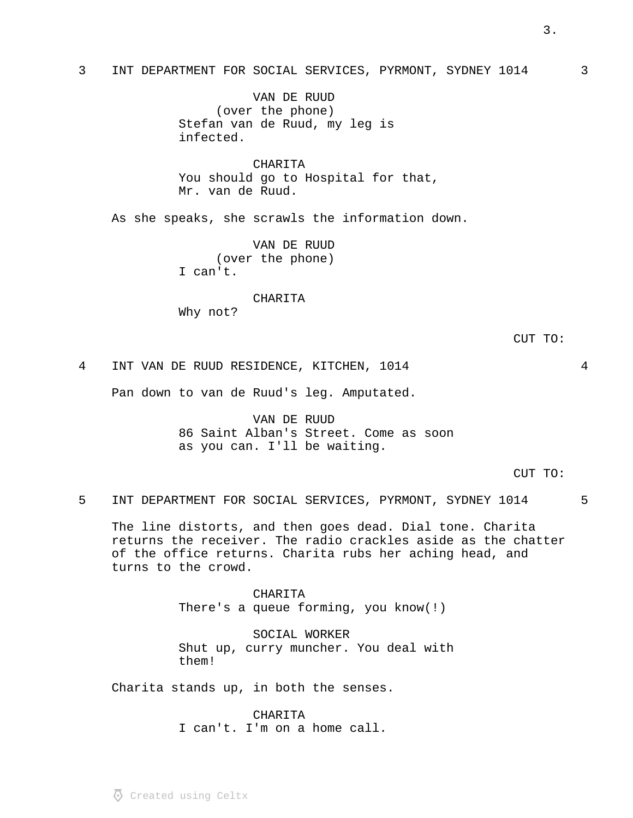# 3 INT DEPARTMENT FOR SOCIAL SERVICES, PYRMONT, SYDNEY 1014 3

VAN DE RUUD (over the phone) Stefan van de Ruud, my leg is infected.

CHARITA You should go to Hospital for that, Mr. van de Ruud.

As she speaks, she scrawls the information down.

VAN DE RUUD (over the phone) I can't.

#### CHARITA

Why not?

4 INT VAN DE RUUD RESIDENCE, KITCHEN, 1014 4

Pan down to van de Ruud's leg. Amputated.

VAN DE RUUD 86 Saint Alban's Street. Come as soon as you can. I'll be waiting.

CUT TO:

5 INT DEPARTMENT FOR SOCIAL SERVICES, PYRMONT, SYDNEY 1014 5

The line distorts, and then goes dead. Dial tone. Charita returns the receiver. The radio crackles aside as the chatter of the office returns. Charita rubs her aching head, and turns to the crowd.

> CHARITA There's a queue forming, you know(!)

SOCIAL WORKER Shut up, curry muncher. You deal with them!

Charita stands up, in both the senses.

CHARITA I can't. I'm on a home call.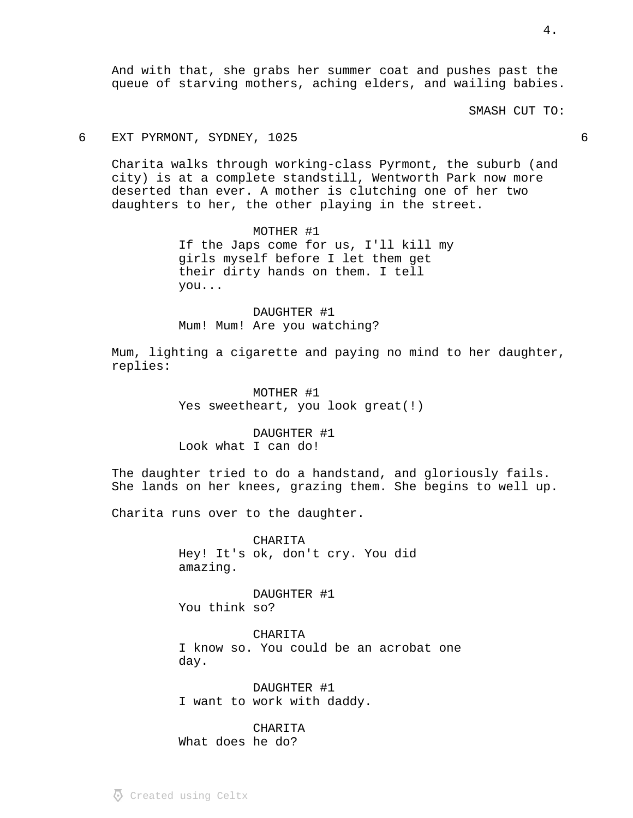And with that, she grabs her summer coat and pushes past the queue of starving mothers, aching elders, and wailing babies.

SMASH CUT TO:

## 6 EXT PYRMONT, SYDNEY, 1025 6

Charita walks through working-class Pyrmont, the suburb (and city) is at a complete standstill, Wentworth Park now more deserted than ever. A mother is clutching one of her two daughters to her, the other playing in the street.

> MOTHER #1 If the Japs come for us, I'll kill my girls myself before I let them get their dirty hands on them. I tell you...

DAUGHTER #1 Mum! Mum! Are you watching?

Mum, lighting a cigarette and paying no mind to her daughter, replies:

> MOTHER #1 Yes sweetheart, you look great(!)

DAUGHTER #1 Look what I can do!

The daughter tried to do a handstand, and gloriously fails. She lands on her knees, grazing them. She begins to well up.

Charita runs over to the daughter.

CHARITA Hey! It's ok, don't cry. You did amazing.

DAUGHTER #1 You think so?

CHARITA I know so. You could be an acrobat one day.

DAUGHTER #1 I want to work with daddy.

CHARITA What does he do?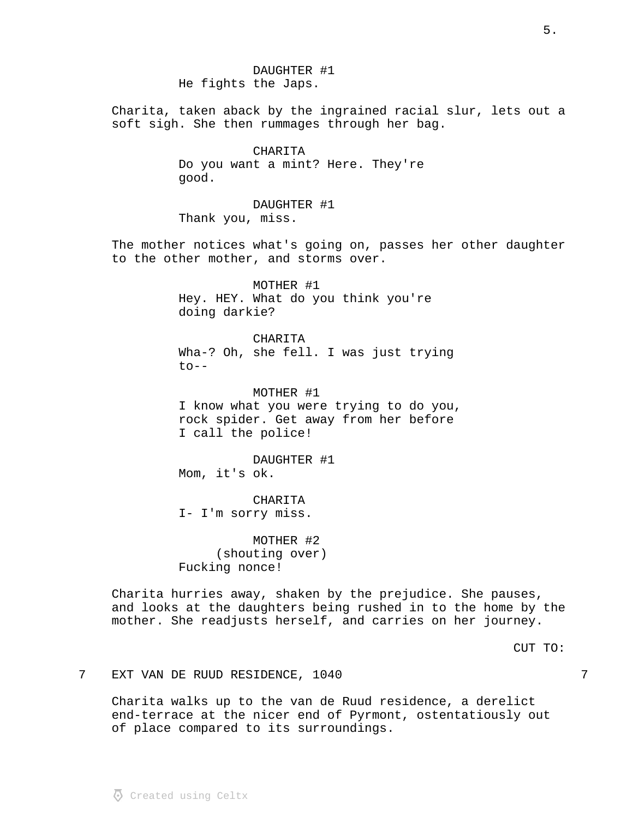DAUGHTER #1 He fights the Japs.

Charita, taken aback by the ingrained racial slur, lets out a soft sigh. She then rummages through her bag.

> CHARITA Do you want a mint? Here. They're good.

DAUGHTER #1 Thank you, miss.

The mother notices what's going on, passes her other daughter to the other mother, and storms over.

> MOTHER #1 Hey. HEY. What do you think you're doing darkie?

CHARITA Wha-? Oh, she fell. I was just trying  $t_0$ --

MOTHER #1 I know what you were trying to do you, rock spider. Get away from her before I call the police!

DAUGHTER #1 Mom, it's ok.

CHARITA I- I'm sorry miss.

MOTHER #2 (shouting over) Fucking nonce!

Charita hurries away, shaken by the prejudice. She pauses, and looks at the daughters being rushed in to the home by the mother. She readjusts herself, and carries on her journey.

CUT TO:

7 EXT VAN DE RUUD RESIDENCE, 1040 7

Charita walks up to the van de Ruud residence, a derelict end-terrace at the nicer end of Pyrmont, ostentatiously out of place compared to its surroundings.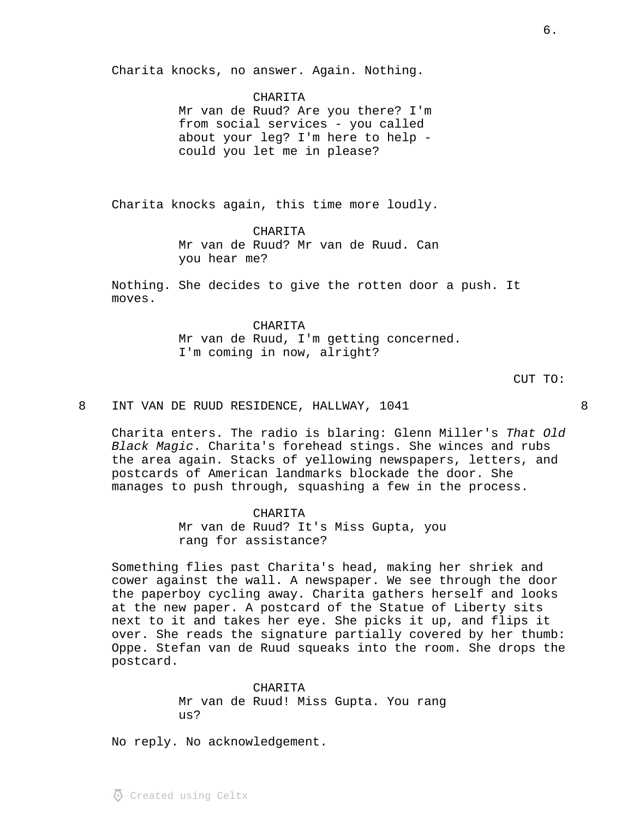Charita knocks, no answer. Again. Nothing.

CHARITA Mr van de Ruud? Are you there? I'm from social services - you called about your leg? I'm here to help could you let me in please?

 $\overline{6}$ .

Charita knocks again, this time more loudly.

CHARITA Mr van de Ruud? Mr van de Ruud. Can you hear me?

Nothing. She decides to give the rotten door a push. It moves.

> CHARITA Mr van de Ruud, I'm getting concerned. I'm coming in now, alright?

CUT TO:

8 INT VAN DE RUUD RESIDENCE, HALLWAY, 1041 8

Charita enters. The radio is blaring: Glenn Miller's That Old Black Magic. Charita's forehead stings. She winces and rubs the area again. Stacks of yellowing newspapers, letters, and postcards of American landmarks blockade the door. She manages to push through, squashing a few in the process.

CHARITA

Mr van de Ruud? It's Miss Gupta, you rang for assistance?

Something flies past Charita's head, making her shriek and cower against the wall. A newspaper. We see through the door the paperboy cycling away. Charita gathers herself and looks at the new paper. A postcard of the Statue of Liberty sits next to it and takes her eye. She picks it up, and flips it over. She reads the signature partially covered by her thumb: Oppe. Stefan van de Ruud squeaks into the room. She drops the postcard.

> CHARITA Mr van de Ruud! Miss Gupta. You rang us?

No reply. No acknowledgement.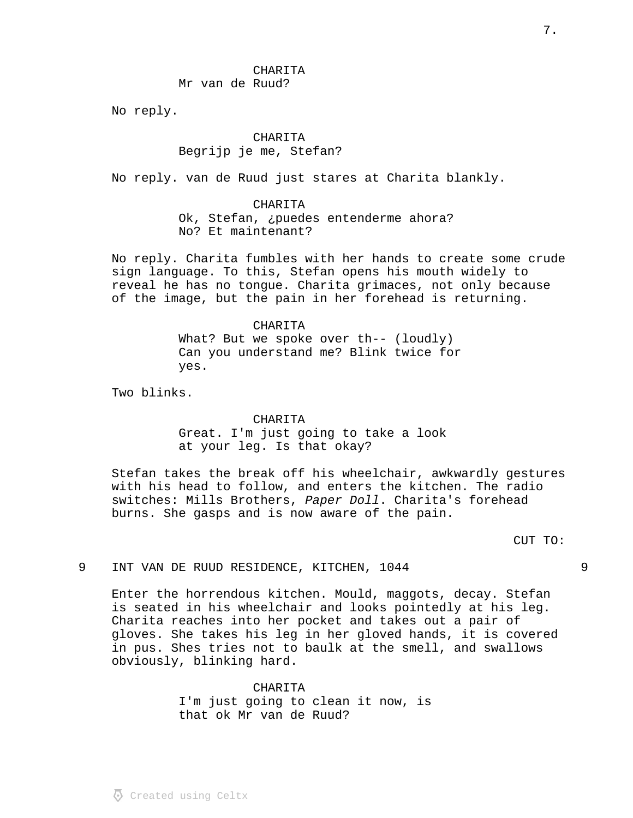CHARITA Mr van de Ruud?

No reply.

CHARITA Begrijp je me, Stefan?

No reply. van de Ruud just stares at Charita blankly.

#### CHARITA

Ok, Stefan, ¿puedes entenderme ahora? No? Et maintenant?

No reply. Charita fumbles with her hands to create some crude sign language. To this, Stefan opens his mouth widely to reveal he has no tongue. Charita grimaces, not only because of the image, but the pain in her forehead is returning.

> CHARITA What? But we spoke over th-- (loudly) Can you understand me? Blink twice for yes.

Two blinks.

### CHARITA

Great. I'm just going to take a look at your leg. Is that okay?

Stefan takes the break off his wheelchair, awkwardly gestures with his head to follow, and enters the kitchen. The radio switches: Mills Brothers, Paper Doll. Charita's forehead burns. She gasps and is now aware of the pain.

CUT TO:

## 9 INT VAN DE RUUD RESIDENCE, KITCHEN, 1044

Enter the horrendous kitchen. Mould, maggots, decay. Stefan is seated in his wheelchair and looks pointedly at his leg. Charita reaches into her pocket and takes out a pair of gloves. She takes his leg in her gloved hands, it is covered in pus. Shes tries not to baulk at the smell, and swallows obviously, blinking hard.

## CHARITA I'm just going to clean it now, is that ok Mr van de Ruud?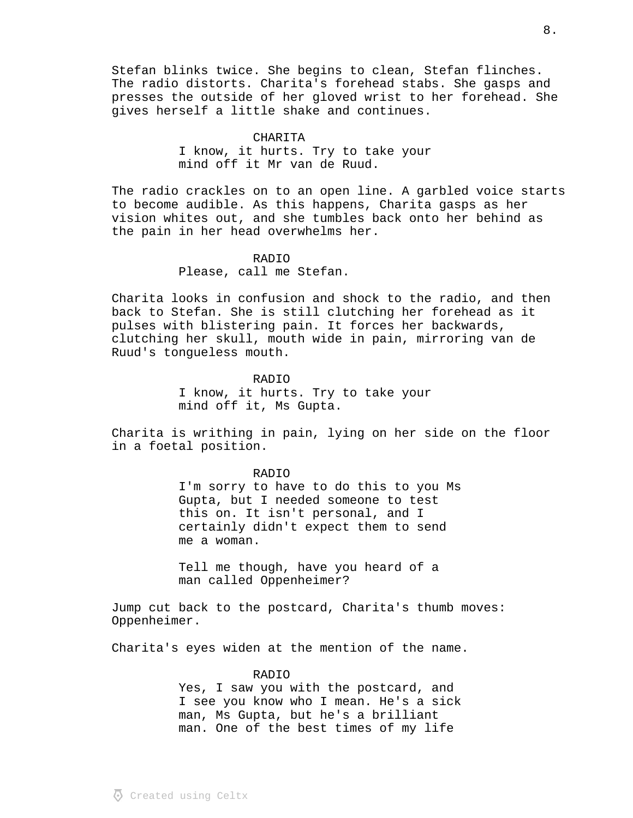Stefan blinks twice. She begins to clean, Stefan flinches. The radio distorts. Charita's forehead stabs. She gasps and presses the outside of her gloved wrist to her forehead. She gives herself a little shake and continues.

#### CHARITA

I know, it hurts. Try to take your mind off it Mr van de Ruud.

The radio crackles on to an open line. A garbled voice starts to become audible. As this happens, Charita gasps as her vision whites out, and she tumbles back onto her behind as the pain in her head overwhelms her.

# RADIO Please, call me Stefan.

Charita looks in confusion and shock to the radio, and then back to Stefan. She is still clutching her forehead as it pulses with blistering pain. It forces her backwards, clutching her skull, mouth wide in pain, mirroring van de Ruud's tongueless mouth.

### RADIO

I know, it hurts. Try to take your mind off it, Ms Gupta.

Charita is writhing in pain, lying on her side on the floor in a foetal position.

#### RADIO

I'm sorry to have to do this to you Ms Gupta, but I needed someone to test this on. It isn't personal, and I certainly didn't expect them to send me a woman.

Tell me though, have you heard of a man called Oppenheimer?

Jump cut back to the postcard, Charita's thumb moves: Oppenheimer.

Charita's eyes widen at the mention of the name.

## RADIO

Yes, I saw you with the postcard, and I see you know who I mean. He's a sick man, Ms Gupta, but he's a brilliant man. One of the best times of my life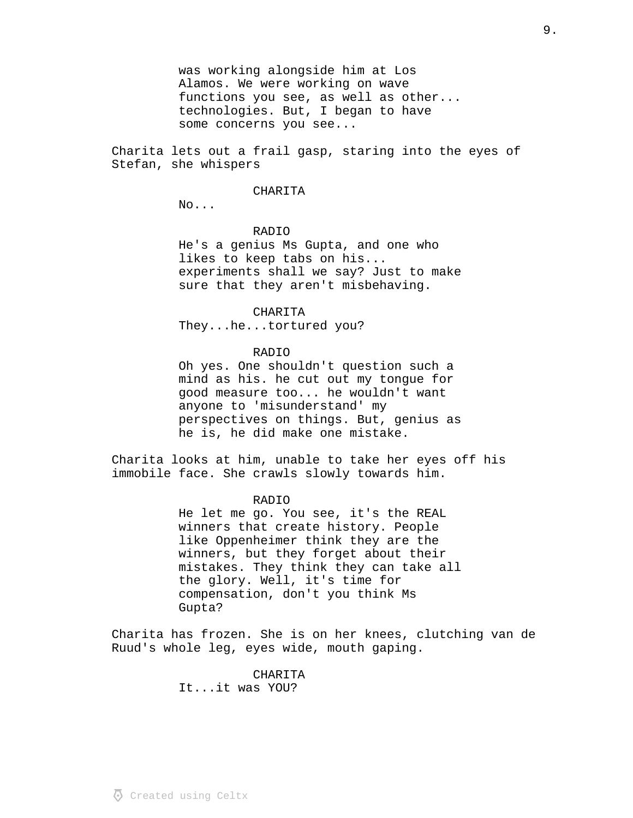was working alongside him at Los Alamos. We were working on wave functions you see, as well as other... technologies. But, I began to have some concerns you see...

Charita lets out a frail gasp, staring into the eyes of Stefan, she whispers

#### CHARITA

No...

### RADIO

He's a genius Ms Gupta, and one who likes to keep tabs on his... experiments shall we say? Just to make sure that they aren't misbehaving.

CHARITA

They...he...tortured you?

# RADIO

Oh yes. One shouldn't question such a mind as his. he cut out my tongue for good measure too... he wouldn't want anyone to 'misunderstand' my perspectives on things. But, genius as he is, he did make one mistake.

Charita looks at him, unable to take her eyes off his immobile face. She crawls slowly towards him.

#### RADIO

He let me go. You see, it's the REAL winners that create history. People like Oppenheimer think they are the winners, but they forget about their mistakes. They think they can take all the glory. Well, it's time for compensation, don't you think Ms Gupta?

Charita has frozen. She is on her knees, clutching van de Ruud's whole leg, eyes wide, mouth gaping.

> CHARITA It...it was YOU?